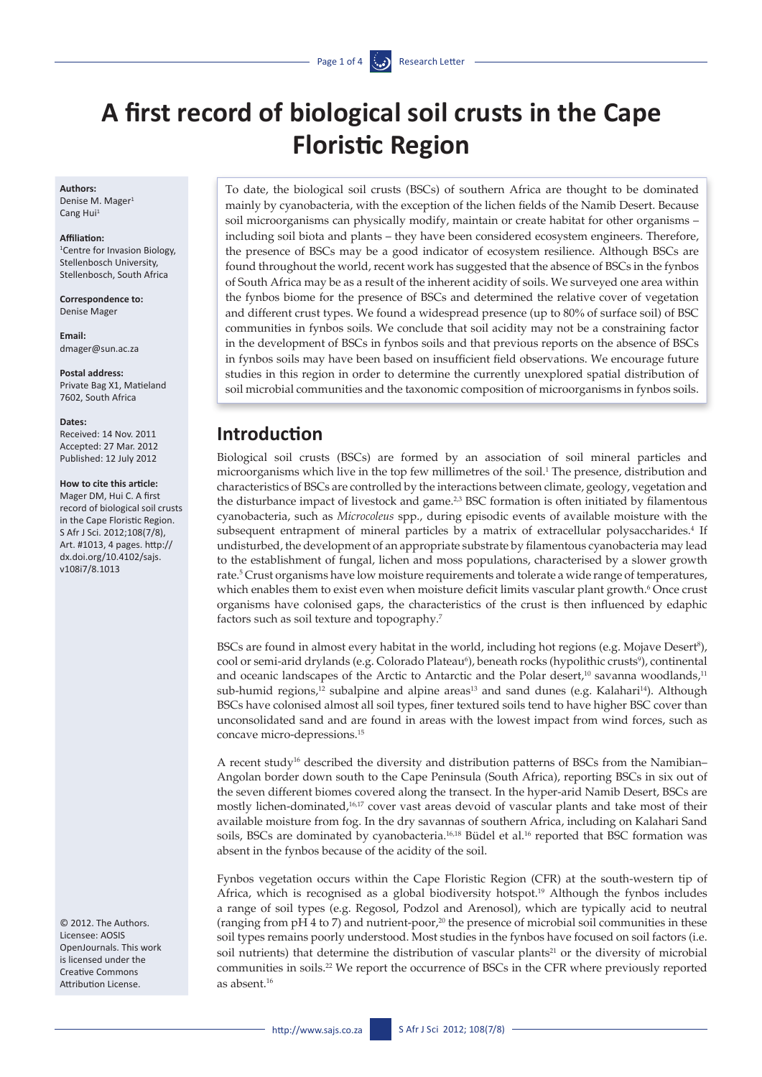# **A first record of biological soil crusts in the Cape Floristic Region**

#### **Authors:**

Denise M. Mager<sup>1</sup> Cang Hui<sup>1</sup>

#### **Affiliation:**

1 Centre for Invasion Biology, Stellenbosch University, Stellenbosch, South Africa

**Correspondence to:**  Denise Mager

**Email:**  <dmager@sun.ac.za>

**Postal address:** Private Bag X1, Matieland 7602, South Africa

**Dates:**

Received: 14 Nov. 2011 Accepted: 27 Mar. 2012 Published: 12 July 2012

#### **How to cite this article:**

Mager DM, Hui C. A first record of biological soil crusts in the Cape Floristic Region. S Afr J Sci. 2012;108(7/8), Art. #1013, 4 pages. [http://](http://dx.doi.org/10.4102/sajs.v108i7/8.1013) [dx.doi.org/10.4102/sajs.](http://dx.doi.org/10.4102/sajs.v108i7/8.1013) [v108i7/8.1013](http://dx.doi.org/10.4102/sajs.v108i7/8.1013)

© 2012. The Authors. Licensee: AOSIS OpenJournals. This work is licensed under the Creative Commons Attribution License.

To date, the biological soil crusts (BSCs) of southern Africa are thought to be dominated mainly by cyanobacteria, with the exception of the lichen fields of the Namib Desert. Because soil microorganisms can physically modify, maintain or create habitat for other organisms – including soil biota and plants – they have been considered ecosystem engineers. Therefore, the presence of BSCs may be a good indicator of ecosystem resilience. Although BSCs are found throughout the world, recent work has suggested that the absence of BSCs in the fynbos of South Africa may be as a result of the inherent acidity of soils. We surveyed one area within the fynbos biome for the presence of BSCs and determined the relative cover of vegetation and different crust types. We found a widespread presence (up to 80% of surface soil) of BSC communities in fynbos soils. We conclude that soil acidity may not be a constraining factor in the development of BSCs in fynbos soils and that previous reports on the absence of BSCs in fynbos soils may have been based on insufficient field observations. We encourage future studies in this region in order to determine the currently unexplored spatial distribution of soil microbial communities and the taxonomic composition of microorganisms in fynbos soils.

## **Introduction**

Biological soil crusts (BSCs) are formed by an association of soil mineral particles and microorganisms which live in the top few millimetres of the soil.<sup>1</sup> The presence, distribution and characteristics of BSCs are controlled by the interactions between climate, geology, vegetation and the disturbance impact of livestock and game.<sup>2,3</sup> BSC formation is often initiated by filamentous cyanobacteria, such as *Microcoleus* spp., during episodic events of available moisture with the subsequent entrapment of mineral particles by a matrix of extracellular polysaccharides.<sup>4</sup> If undisturbed, the development of an appropriate substrate by filamentous cyanobacteria may lead to the establishment of fungal, lichen and moss populations, characterised by a slower growth rate.5 Crust organisms have low moisture requirements and tolerate a wide range of temperatures, which enables them to exist even when moisture deficit limits vascular plant growth.<sup>6</sup> Once crust organisms have colonised gaps, the characteristics of the crust is then influenced by edaphic factors such as soil texture and topography.7

BSCs are found in almost every habitat in the world, including hot regions (e.g. Mojave Desert<sup>8</sup>), cool or semi-arid drylands (e.g. Colorado Plateau<sup>6</sup>), beneath rocks (hypolithic crusts<sup>9</sup>), continental and oceanic landscapes of the Arctic to Antarctic and the Polar desert,<sup>10</sup> savanna woodlands,<sup>11</sup> sub-humid regions,<sup>12</sup> subalpine and alpine areas<sup>13</sup> and sand dunes (e.g. Kalahari<sup>14</sup>). Although BSCs have colonised almost all soil types, finer textured soils tend to have higher BSC cover than unconsolidated sand and are found in areas with the lowest impact from wind forces, such as concave micro-depressions.15

A recent study16 described the diversity and distribution patterns of BSCs from the Namibian– Angolan border down south to the Cape Peninsula (South Africa), reporting BSCs in six out of the seven different biomes covered along the transect. In the hyper-arid Namib Desert, BSCs are mostly lichen-dominated,16,17 cover vast areas devoid of vascular plants and take most of their available moisture from fog. In the dry savannas of southern Africa, including on Kalahari Sand soils, BSCs are dominated by cyanobacteria.<sup>16,18</sup> Büdel et al.<sup>16</sup> reported that BSC formation was absent in the fynbos because of the acidity of the soil.

Fynbos vegetation occurs within the Cape Floristic Region (CFR) at the south-western tip of Africa, which is recognised as a global biodiversity hotspot.19 Although the fynbos includes a range of soil types (e.g. Regosol, Podzol and Arenosol), which are typically acid to neutral (ranging from  $pH 4$  to 7) and nutrient-poor,<sup>20</sup> the presence of microbial soil communities in these soil types remains poorly understood. Most studies in the fynbos have focused on soil factors (i.e. soil nutrients) that determine the distribution of vascular plants<sup>21</sup> or the diversity of microbial communities in soils.22 We report the occurrence of BSCs in the CFR where previously reported as absent.16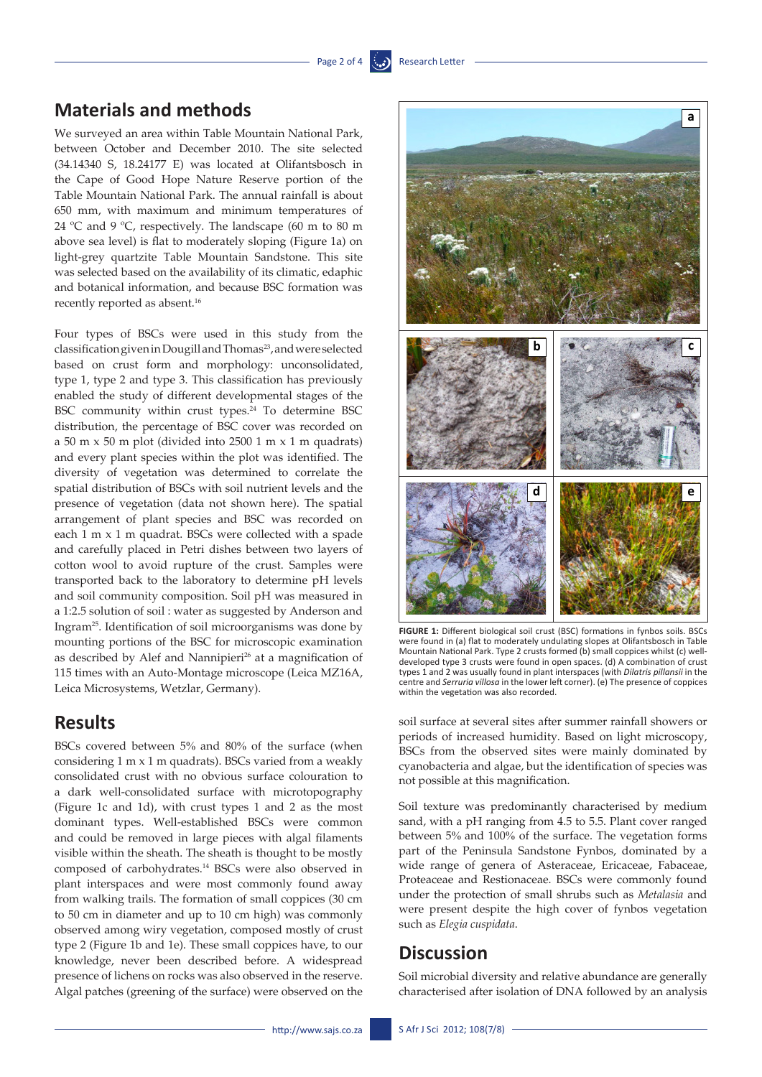# **Materials and methods**

We surveyed an area within Table Mountain National Park, between October and December 2010. The site selected (34.14340 S, 18.24177 E) was located at Olifantsbosch in the Cape of Good Hope Nature Reserve portion of the Table Mountain National Park. The annual rainfall is about 650 mm, with maximum and minimum temperatures of 24 ºC and 9 ºC, respectively. The landscape (60 m to 80 m above sea level) is flat to moderately sloping (Figure 1a) on light-grey quartzite Table Mountain Sandstone. This site was selected based on the availability of its climatic, edaphic and botanical information, and because BSC formation was recently reported as absent.<sup>16</sup>

Four types of BSCs were used in this study from the classification given in Dougill and Thomas<sup>23</sup>, and were selected based on crust form and morphology: unconsolidated, type 1, type 2 and type 3. This classification has previously enabled the study of different developmental stages of the BSC community within crust types.<sup>24</sup> To determine BSC distribution, the percentage of BSC cover was recorded on a 50 m x 50 m plot (divided into 2500 1 m x 1 m quadrats) and every plant species within the plot was identified. The diversity of vegetation was determined to correlate the spatial distribution of BSCs with soil nutrient levels and the presence of vegetation (data not shown here). The spatial arrangement of plant species and BSC was recorded on each 1 m x 1 m quadrat. BSCs were collected with a spade and carefully placed in Petri dishes between two layers of cotton wool to avoid rupture of the crust. Samples were transported back to the laboratory to determine pH levels and soil community composition. Soil pH was measured in a 1:2.5 solution of soil : water as suggested by Anderson and Ingram25. Identification of soil microorganisms was done by mounting portions of the BSC for microscopic examination as described by Alef and Nannipieri<sup>26</sup> at a magnification of 115 times with an Auto-Montage microscope (Leica MZ16A, Leica Microsystems, Wetzlar, Germany).

### **Results**

BSCs covered between 5% and 80% of the surface (when considering 1 m x 1 m quadrats). BSCs varied from a weakly consolidated crust with no obvious surface colouration to a dark well-consolidated surface with microtopography (Figure 1c and 1d), with crust types 1 and 2 as the most dominant types. Well-established BSCs were common and could be removed in large pieces with algal filaments visible within the sheath. The sheath is thought to be mostly composed of carbohydrates.14 BSCs were also observed in plant interspaces and were most commonly found away from walking trails. The formation of small coppices (30 cm to 50 cm in diameter and up to 10 cm high) was commonly observed among wiry vegetation, composed mostly of crust type 2 (Figure 1b and 1e). These small coppices have, to our knowledge, never been described before. A widespread presence of lichens on rocks was also observed in the reserve. Algal patches (greening of the surface) were observed on the



**FIGURE 1:** Different biological soil crust (BSC) formations in fynbos soils. BSCs were found in (a) flat to moderately undulating slopes at Olifantsbosch in Table Mountain National Park. Type 2 crusts formed (b) small coppices whilst (c) welldeveloped type 3 crusts were found in open spaces. (d) A combination of crust types 1 and 2 was usually found in plant interspaces (with *Dilatris pillansii* in the centre and *Serruria villosa* in the lower left corner). (e) The presence of coppices within the vegetation was also recorded.

soil surface at several sites after summer rainfall showers or periods of increased humidity. Based on light microscopy, BSCs from the observed sites were mainly dominated by cyanobacteria and algae, but the identification of species was not possible at this magnification.

Soil texture was predominantly characterised by medium sand, with a pH ranging from 4.5 to 5.5. Plant cover ranged between 5% and 100% of the surface. The vegetation forms part of the Peninsula Sandstone Fynbos, dominated by a wide range of genera of Asteraceae, Ericaceae, Fabaceae, Proteaceae and Restionaceae. BSCs were commonly found under the protection of small shrubs such as *Metalasia* and were present despite the high cover of fynbos vegetation such as *Elegia cuspidata*.

### **Discussion**

Soil microbial diversity and relative abundance are generally characterised after isolation of DNA followed by an analysis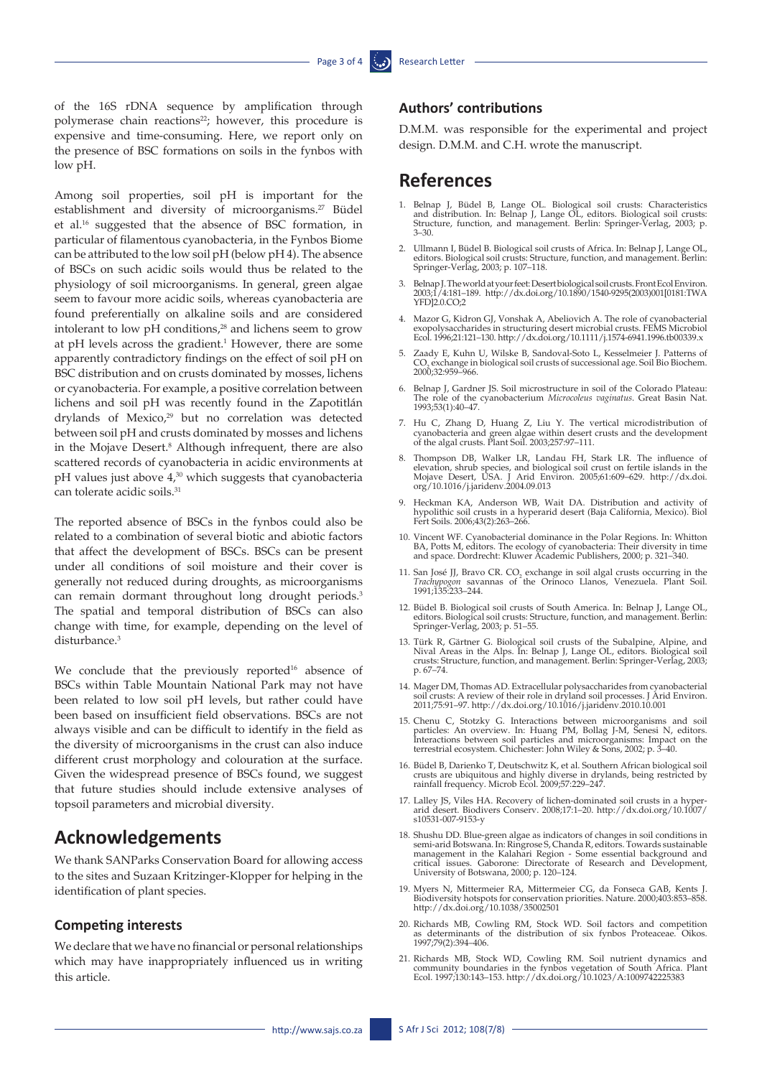of the 16S rDNA sequence by amplification through polymerase chain reactions<sup>22</sup>; however, this procedure is expensive and time-consuming. Here, we report only on the presence of BSC formations on soils in the fynbos with low pH.

Among soil properties, soil pH is important for the establishment and diversity of microorganisms.<sup>27</sup> Büdel et al.16 suggested that the absence of BSC formation, in particular of filamentous cyanobacteria, in the Fynbos Biome can be attributed to the low soil pH (below pH 4). The absence of BSCs on such acidic soils would thus be related to the physiology of soil microorganisms. In general, green algae seem to favour more acidic soils, whereas cyanobacteria are found preferentially on alkaline soils and are considered intolerant to low pH conditions,<sup>28</sup> and lichens seem to grow at pH levels across the gradient.<sup>1</sup> However, there are some apparently contradictory findings on the effect of soil pH on BSC distribution and on crusts dominated by mosses, lichens or cyanobacteria. For example, a positive correlation between lichens and soil pH was recently found in the Zapotitlán drylands of Mexico,<sup>29</sup> but no correlation was detected between soil pH and crusts dominated by mosses and lichens in the Mojave Desert.<sup>8</sup> Although infrequent, there are also scattered records of cyanobacteria in acidic environments at pH values just above  $4<sup>30</sup>$  which suggests that cyanobacteria can tolerate acidic soils.31

The reported absence of BSCs in the fynbos could also be related to a combination of several biotic and abiotic factors that affect the development of BSCs. BSCs can be present under all conditions of soil moisture and their cover is generally not reduced during droughts, as microorganisms can remain dormant throughout long drought periods.<sup>3</sup> The spatial and temporal distribution of BSCs can also change with time, for example, depending on the level of disturbance.<sup>3</sup>

We conclude that the previously reported<sup>16</sup> absence of BSCs within Table Mountain National Park may not have been related to low soil pH levels, but rather could have been based on insufficient field observations. BSCs are not always visible and can be difficult to identify in the field as the diversity of microorganisms in the crust can also induce different crust morphology and colouration at the surface. Given the widespread presence of BSCs found, we suggest that future studies should include extensive analyses of topsoil parameters and microbial diversity.

### **Acknowledgements**

We thank SANParks Conservation Board for allowing access to the sites and Suzaan Kritzinger-Klopper for helping in the identification of plant species.

#### **Competing interests**

We declare that we have no financial or personal relationships which may have inappropriately influenced us in writing this article.

#### **Authors' contributions**

D.M.M. was responsible for the experimental and project design. D.M.M. and C.H. wrote the manuscript.

### **References**

- 1. Belnap J, Büdel B, Lange OL. Biological soil crusts: Characteristics and distribution. In: Belnap J, Lange OL, editors. Biological soil crusts: Structure, function, and management. Berlin: Springer-Verlag, 2003; p. 3–30.
- 2. Ullmann I, Büdel B. Biological soil crusts of Africa. In: Belnap J, Lange OL, editors. Biological soil crusts: Structure, function, and management. Berlin: Springer-Verlag, 2003; p. 107–118.
- 3. Belnap J. The world at your feet: Desert biological soil crusts. Front Ecol Environ. 2003;1/4:181–189. [http://dx.doi.org/10.1890/1540-9295\(2003\)001\[0181:TWA](http://dx.doi.org/10.1890/1540-9295(2003)001[0181:TWAYFD]2.0.CO;2) [YFD\]2.0.CO;2](http://dx.doi.org/10.1890/1540-9295(2003)001[0181:TWAYFD]2.0.CO;2)
- 4. Mazor G, Kidron GJ, Vonshak A, Abeliovich A. The role of cyanobacterial exopolysaccharides in structuring desert microbial crusts. FEMS Microbiol Ecol. 1996;21:121–130. [http://dx.doi.org/10.1111/j.1574-6941.1996.tb00339.x](http://dx.doi.org/10.1111/j.1574-6941.1996.tb00339.x )
- 5. Zaady E, Kuhn U, Wilske B, Sandoval-Soto L, Kesselmeier J. Patterns of CO2 exchange in biological soil crusts of successional age. Soil Bio Biochem. 2000;32:959–966.
- 6. Belnap J, Gardner JS. Soil microstructure in soil of the Colorado Plateau: The role of the cyanobacterium *Microcoleus vaginatus*. Great Basin Nat. 1993;53(1):40–47.
- 7. Hu C, Zhang D, Huang Z, Liu Y. The vertical microdistribution of cyanobacteria and green algae within desert crusts and the development of the algal crusts. Plant Soil. 2003;257:97–111.
- 8. Thompson DB, Walker LR, Landau FH, Stark LR. The influence of elevation, shrub species, and biological soil crust on fertile islands in the Mojave Desert, USA. J Arid Environ. 2005;61:609–629. [http://dx.doi.](http://dx.doi.org/10.1016/j.jaridenv.2004.09.013 ) [org/10.1016/j.jaridenv.2004.09.013](http://dx.doi.org/10.1016/j.jaridenv.2004.09.013 )
- 9. Heckman KA, Anderson WB, Wait DA. Distribution and activity of hypolithic soil crusts in a hyperarid desert (Baja California, Mexico). Biol Fert Soils. 2006;43(2):263–266.
- 10. Vincent WF. Cyanobacterial dominance in the Polar Regions. In: Whitton BA, Potts M, editors. The ecology of cyanobacteria: Their diversity in time and space. Dordrecht: Kluwer Academic Publishers, 2000; p. 321–340.
- 11. San José JJ, Bravo CR. CO<sub>2</sub> exchange in soil algal crusts occurring in the *Trachypogon* savannas of the Orinoco Llanos, Venezuela. Plant Soil. 1991;135:233–244.
- 12. Büdel B. Biological soil crusts of South America. In: Belnap J, Lange OL, editors. Biological soil crusts: Structure, function, and management. Berlin: Springer-Verlag, 2003; p. 51–55.
- 13. Türk R, Gärtner G. Biological soil crusts of the Subalpine, Alpine, and Nival Areas in the Alps. In: Belnap J, Lange OL, editors. Biological soil crusts: Structure, function, and management. Berlin: Springer-Verlag, 2003; p. 67–74.
- 14. Mager DM, Thomas AD. Extracellular polysaccharides from cyanobacterial soil crusts: A review of their role in dryland soil processes. J Arid Environ. 2011;75:91–97. <http://dx.doi.org/10.1016/j.jaridenv.2010.10.001>
- 15. Chenu C, Stotzky G. Interactions between microorganisms and soil particles: An overview. In: Huang PM, Bollag J-M, Senesi N, editors. Interactions between soil particles and microorganisms: Impact on the terrestrial ec
- 16. Büdel B, Darienko T, Deutschwitz K, et al. Southern African biological soil crusts are ubiquitous and highly diverse in drylands, being restricted by rainfall frequency. Microb Ecol. 2009;57:229–247.
- 17. Lalley JS, Viles HA. Recovery of lichen-dominated soil crusts in a hyperarid desert. Biodivers Conserv. 2008;17:1–20. [http://dx.doi.org/10.1007/](http://dx.doi.org/10.1007/s10531-007-9153-y ) [s10531-007-9153-y](http://dx.doi.org/10.1007/s10531-007-9153-y )
- 18. Shushu DD. Blue-green algae as indicators of changes in soil conditions in semi-arid Botswana. In: Ringrose S, Chanda R, editors. Towards sustainable management in the Kalahari Region - Some essential background and critical issues. Gaborone: Directorate of Research and Development, University of Botswana, 2000; p. 120–124.
- 19. Myers N, Mittermeier RA, Mittermeier CG, da Fonseca GAB, Kents J. Biodiversity hotspots for conservation priorities. Nature. 2000;403:853–858. [http://dx.doi.org/10.1038/35002501](http://dx.doi.org/10.1038/35002501 )
- 20. Richards MB, Cowling RM, Stock WD. Soil factors and competition as determinants of the distribution of six fynbos Proteaceae. Oikos. 1997;79(2):394–406.
- 21. Richards MB, Stock WD, Cowling RM. Soil nutrient dynamics and community boundaries in the fynbos vegetation of South Africa. Plant Ecol. 1997;130:143–153. <http://dx.doi.org/10.1023/A:1009742225383>